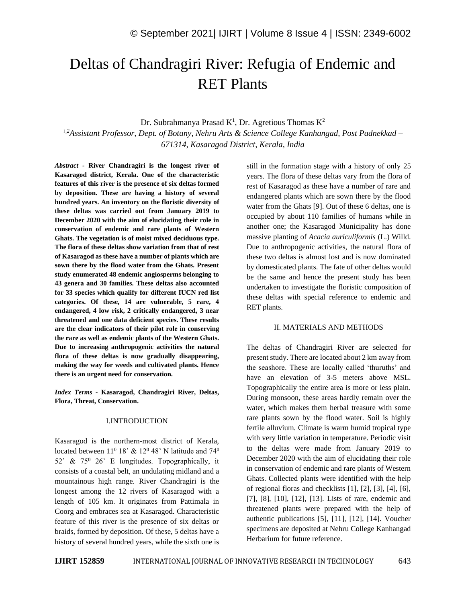# Deltas of Chandragiri River: Refugia of Endemic and RET Plants

Dr. Subrahmanya Prasad K<sup>1</sup>, Dr. Agretious Thomas K<sup>2</sup>

1,*<sup>2</sup>Assistant Professor, Dept. of Botany, Nehru Arts & Science College Kanhangad, Post Padnekkad – 671314, Kasaragod District, Kerala, India*

*Abstract -* **River Chandragiri is the longest river of Kasaragod district, Kerala. One of the characteristic features of this river is the presence of six deltas formed by deposition. These are having a history of several hundred years. An inventory on the floristic diversity of these deltas was carried out from January 2019 to December 2020 with the aim of elucidating their role in conservation of endemic and rare plants of Western Ghats. The vegetation is of moist mixed deciduous type. The flora of these deltas show variation from that of rest of Kasaragod as these have a number of plants which are sown there by the flood water from the Ghats. Present study enumerated 48 endemic angiosperms belonging to 43 genera and 30 families. These deltas also accounted for 33 species which qualify for different IUCN red list categories. Of these, 14 are vulnerable, 5 rare, 4 endangered, 4 low risk, 2 critically endangered, 3 near threatened and one data deficient species. These results are the clear indicators of their pilot role in conserving the rare as well as endemic plants of the Western Ghats. Due to increasing anthropogenic activities the natural flora of these deltas is now gradually disappearing, making the way for weeds and cultivated plants. Hence there is an urgent need for conservation.**

*Index Terms -* **Kasaragod, Chandragiri River, Deltas, Flora, Threat, Conservation.**

### I.INTRODUCTION

Kasaragod is the northern-most district of Kerala, located between  $11^0$  18' & 12<sup>0</sup> 48' N latitude and 74<sup>0</sup> 52' & 75<sup>0</sup> 26' E longitudes. Topographically, it consists of a coastal belt, an undulating midland and a mountainous high range. River Chandragiri is the longest among the 12 rivers of Kasaragod with a length of 105 km. It originates from Pattimala in Coorg and embraces sea at Kasaragod. Characteristic feature of this river is the presence of six deltas or braids, formed by deposition. Of these, 5 deltas have a history of several hundred years, while the sixth one is still in the formation stage with a history of only 25 years. The flora of these deltas vary from the flora of rest of Kasaragod as these have a number of rare and endangered plants which are sown there by the flood water from the Ghats [9]. Out of these 6 deltas, one is occupied by about 110 families of humans while in another one; the Kasaragod Municipality has done massive planting of *Acacia auriculiformis* (L.) Willd. Due to anthropogenic activities, the natural flora of these two deltas is almost lost and is now dominated by domesticated plants. The fate of other deltas would be the same and hence the present study has been undertaken to investigate the floristic composition of these deltas with special reference to endemic and RET plants.

#### II. MATERIALS AND METHODS

The deltas of Chandragiri River are selected for present study. There are located about 2 km away from the seashore. These are locally called 'thuruths' and have an elevation of 3-5 meters above MSL. Topographically the entire area is more or less plain. During monsoon, these areas hardly remain over the water, which makes them herbal treasure with some rare plants sown by the flood water. Soil is highly fertile alluvium. Climate is warm humid tropical type with very little variation in temperature. Periodic visit to the deltas were made from January 2019 to December 2020 with the aim of elucidating their role in conservation of endemic and rare plants of Western Ghats. Collected plants were identified with the help of regional floras and checklists [1], [2], [3], [4], [6], [7], [8], [10], [12], [13]. Lists of rare, endemic and threatened plants were prepared with the help of authentic publications [5], [11], [12], [14]. Voucher specimens are deposited at Nehru College Kanhangad Herbarium for future reference.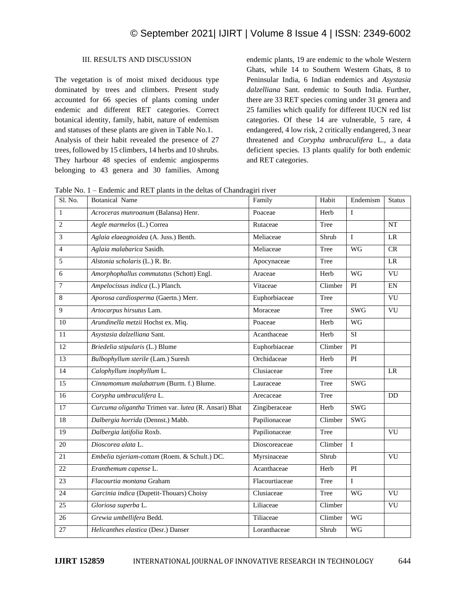# III. RESULTS AND DISCUSSION

The vegetation is of moist mixed deciduous type dominated by trees and climbers. Present study accounted for 66 species of plants coming under endemic and different RET categories. Correct botanical identity, family, habit, nature of endemism and statuses of these plants are given in Table No.1. Analysis of their habit revealed the presence of 27 trees, followed by 15 climbers, 14 herbs and 10 shrubs. They harbour 48 species of endemic angiosperms belonging to 43 genera and 30 families. Among endemic plants, 19 are endemic to the whole Western Ghats, while 14 to Southern Western Ghats, 8 to Peninsular India, 6 Indian endemics and *Asystasia dalzelliana* Sant. endemic to South India. Further, there are 33 RET species coming under 31 genera and 25 families which qualify for different IUCN red list categories. Of these 14 are vulnerable, 5 rare, 4 endangered, 4 low risk, 2 critically endangered, 3 near threatened and *Corypha umbraculifera* L., a data deficient species. 13 plants qualify for both endemic and RET categories.

Table No. 1 – Endemic and RET plants in the deltas of Chandragiri river

| Sl. No.         | <b>Botanical Name</b>                                | Family         | Habit   | Endemism        | <b>Status</b>              |
|-----------------|------------------------------------------------------|----------------|---------|-----------------|----------------------------|
| 1               | Acroceras munroanum (Balansa) Henr.                  | Poaceae        | Herb    | I               |                            |
| 2               | Aegle marmelos (L.) Correa                           | Rutaceae       | Tree    |                 | NT                         |
| 3               | Aglaia elaeagnoidea (A. Juss.) Benth.                | Meliaceae      | Shrub   | I               | LR                         |
| $\overline{4}$  | Aglaia malabarica Sasidh.                            | Meliaceae      | Tree    | WG              | CR                         |
| 5               | Alstonia scholaris (L.) R. Br.                       | Apocynaceae    | Tree    |                 | LR                         |
| 6               | Amorphophallus commutatus (Schott) Engl.             | Araceae        | Herb    | WG              | VU                         |
| $\overline{7}$  | Ampelocissus indica (L.) Planch.                     | Vitaceae       | Climber | PI              | $\mathop{\rm EN}\nolimits$ |
| 8               | Aporosa cardiosperma (Gaertn.) Merr.                 | Euphorbiaceae  | Tree    |                 | VU                         |
| 9               | Artocarpus hirsutus Lam.                             | Moraceae       | Tree    | <b>SWG</b>      | VU                         |
| 10              | Arundinella metzii Hochst ex. Miq.                   | Poaceae        | Herb    | $\overline{WG}$ |                            |
| 11              | Asystasia dalzelliana Sant.                          | Acanthaceae    | Herb    | $\overline{SI}$ |                            |
| 12              | Briedelia stipularis (L.) Blume                      | Euphorbiaceae  | Climber | PI              |                            |
| $\overline{13}$ | Bulbophyllum sterile (Lam.) Suresh                   | Orchidaceae    | Herb    | PI              |                            |
| 14              | Calophyllum inophyllum L.                            | Clusiaceae     | Tree    |                 | LR                         |
| 15              | Cinnamomum malabatrum (Burm. f.) Blume.              | Lauraceae      | Tree    | <b>SWG</b>      |                            |
| $\overline{16}$ | Corypha umbraculifera L.                             | Arecaceae      | Tree    |                 | <b>DD</b>                  |
| 17              | Curcuma oligantha Trimen var. lutea (R. Ansari) Bhat | Zingiberaceae  | Herb    | SWG             |                            |
| 18              | Dalbergia horrida (Dennst.) Mabb.                    | Papilionaceae  | Climber | <b>SWG</b>      |                            |
| $\overline{19}$ | Dalbergia latifolia Roxb.                            | Papilionaceae  | Tree    |                 | VU                         |
| 20              | Dioscorea alata L.                                   | Dioscoreaceae  | Climber | $\mathbf I$     |                            |
| 21              | Embelia tsjeriam-cottam (Roem. & Schult.) DC.        | Myrsinaceae    | Shrub   |                 | VU                         |
| $\overline{22}$ | Eranthemum capense L.                                | Acanthaceae    | Herb    | PI              |                            |
| 23              | Flacourtia montana Graham                            | Flacourtiaceae | Tree    | $\mathbf{I}$    |                            |
| 24              | Garcinia indica (Dupetit-Thouars) Choisy             | Clusiaceae     | Tree    | $\overline{WG}$ | VU                         |
| 25              | Gloriosa superba L.                                  | Liliaceae      | Climber |                 | VU                         |
| 26              | Grewia umbellifera Bedd.                             | Tiliaceae      | Climber | $\overline{WG}$ |                            |
| 27              | Helicanthes elastica (Desr.) Danser                  | Loranthaceae   | Shrub   | $\overline{WG}$ |                            |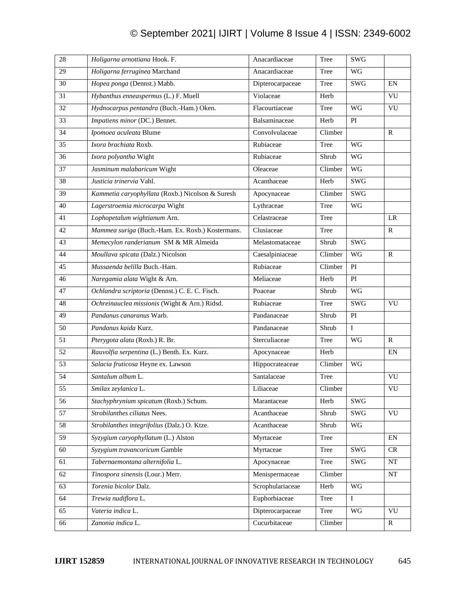# © September 2021| IJIRT | Volume 8 Issue 4 | ISSN: 2349-6002

| 28 | Holigarna arnottiana Hook. F.                    | Anacardiaceae    | Tree    | SWG             |              |
|----|--------------------------------------------------|------------------|---------|-----------------|--------------|
| 29 | Holigarna ferruginea Marchand                    | Anacardiaceae    | Tree    | <b>WG</b>       |              |
| 30 | Hopea ponga (Dennst.) Mabb.                      | Dipterocarpaceae | Tree    | <b>SWG</b>      | EN           |
| 31 | Hybanthus enneaspermus (L.) F. Muell             | Violaceae        | Herb    |                 | VU           |
| 32 | Hydnocarpus pentandra (Buch.-Ham.) Oken.         | Flacourtiaceae   | Tree    | WG              | VU           |
| 33 | Impatiens minor (DC.) Bennet.                    | Balsaminaceae    | Herb    | PI              |              |
| 34 | Ipomoea aculeata Blume                           | Convolvulaceae   | Climber |                 | $\mathbf{R}$ |
| 35 | Ixora brachiata Roxb.                            | Rubiaceae        | Tree    | <b>WG</b>       |              |
| 36 | Ixora polyantha Wight                            | Rubiaceae        | Shrub   | <b>WG</b>       |              |
| 37 | Jasminum malabaricum Wight                       | Oleaceae         | Climber | WG              |              |
| 38 | Justicia trinervia Vahl.                         | Acanthaceae      | Herb    | SWG             |              |
| 39 | Kammetia caryophyllata (Roxb.) Nicolson & Suresh | Apocynaceae      | Climber | <b>SWG</b>      |              |
| 40 | Lagerstroemia microcarpa Wight                   | Lythraceae       | Tree    | WG              |              |
| 41 | Lophopetalum wightianum Arn.                     | Celastraceae     | Tree    |                 | <b>LR</b>    |
| 42 | Mammea suriga (Buch.-Ham. Ex. Roxb.) Kostermans. | Clusiaceae       | Tree    |                 | $\mathbf{R}$ |
| 43 | Memecylon randerianum SM & MR Almeida            | Melastomataceae  | Shrub   | SWG             |              |
| 44 | Moullava spicata (Dalz.) Nicolson                | Caesalpiniaceae  | Climber | WG              | $\mathbf R$  |
| 45 | Mussaenda belilla Buch.-Ham.                     | Rubiaceae        | Climber | PI              |              |
| 46 | Naregamia alata Wight & Arn.                     | Meliaceae        | Herb    | PI              |              |
| 47 | Ochlandra scriptoria (Dennst.) C. E. C. Fisch.   | Poaceae          | Shrub   | WG              |              |
| 48 | Ochreinauclea missionis (Wight & Arn.) Ridsd.    | Rubiaceae        | Tree    | <b>SWG</b>      | VU           |
| 49 | Pandanus canaranus Warb.                         | Pandanaceae      | Shrub   | PI              |              |
| 50 | Pandanus kaida Kurz.                             | Pandanaceae      | Shrub   | I               |              |
| 51 | Pterygota alata (Roxb.) R. Br.                   | Sterculiaceae    | Tree    | WG              | $\mathbf{R}$ |
| 52 | Rauvolfia serpentina (L.) Benth. Ex. Kurz.       | Apocynaceae      | Herb    |                 | EN           |
| 53 | Salacia fruticosa Heyne ex. Lawson               | Hippocrateaceae  | Climber | WG              |              |
| 54 | Santalum album L.                                | Santalaceae      | Tree    |                 | VU           |
| 55 | Smilax zeylanica L.                              | Liliaceae        | Climber |                 | VU           |
| 56 | Stachyphrynium spicatum (Roxb.) Schum.           | Marantaceae      | Herb    | SWG             |              |
| 57 | Strobilanthes ciliatus Nees.                     | Acanthaceae      | Shrub   | SWG             | VU           |
| 58 | Strobilanthes integrifolius (Dalz.) O. Ktze.     | Acanthaceae      | Shrub   | WG              |              |
| 59 | Syzygium caryophyllatum (L.) Alston              | Myrtaceae        | Tree    |                 | EN           |
| 60 | Syzygium travancoricum Gamble                    | Myrtaceae        | Tree    | SWG             | CR           |
| 61 | Tabernaemontana alternifolia L.                  | Apocynaceae      | Tree    | SWG             | NT           |
| 62 | Tinospora sinensis (Lour.) Merr.                 | Menispermaceae   | Climber |                 | $\rm{NT}$    |
| 63 | Torenia bicolor Dalz.                            | Scrophulariaceae | Herb    | $\overline{WG}$ |              |
| 64 | Trewia nudiflora L.                              | Euphorbiaceae    | Tree    | $\rm I$         |              |
| 65 | Vateria indica L.                                | Dipterocarpaceae | Tree    | WG              | VU           |
| 66 | Zanonia indica L.                                | Cucurbitaceae    | Climber |                 | $\mathbf R$  |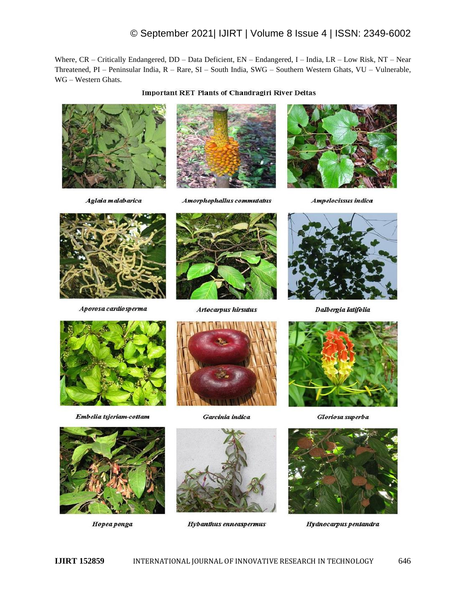Where, CR – Critically Endangered, DD – Data Deficient, EN – Endangered, I – India, LR – Low Risk, NT – Near Threatened, PI - Peninsular India, R - Rare, SI - South India, SWG - Southern Western Ghats, VU - Vulnerable, WG - Western Ghats.

# **Important RET Plants of Chandragiri River Deltas**



Aglaia malabarica



Amorphophallus commutatus



Ampelocissus indica



Aporosa cardiosperma



**Artocarpus hirsutus** 



Dalbergia latifolia



Embelia tsjeriam-cottam



Hopea ponga



Garcinia indica



**Hybanthus** enneaspermus



Gloriosa superba



Hydnocarpus pentandra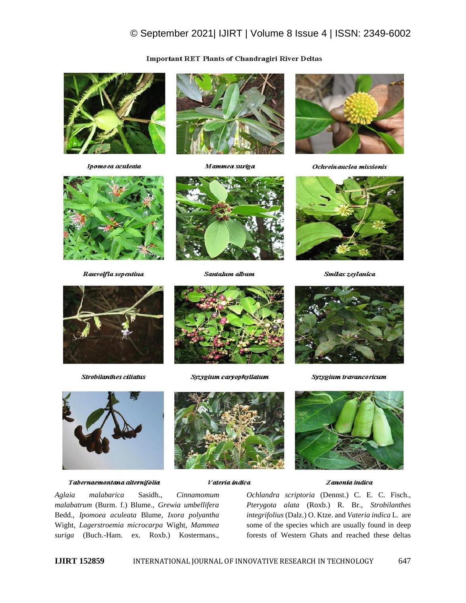# © September 2021| IJIRT | Volume 8 Issue 4 | ISSN: 2349-6002

## **Important RET Plants of Chandragiri River Deltas**



Ipomoea aculeata



Mammea suriga



Ochreinauclea missionis



Rauvolfia sepentina



Santalum album



Smilax zeylanica



**Strobilanthes ciliatus** 



Syzygium caryophyllatum



Syzygium travancoricum



Tabernaemontana alternifolia



Vateria indica



Zanonia indica

*Aglaia malabarica* Sasidh., *Cinnamomum malabatrum* (Burm. f.) Blume., *Grewia umbellifera* Bedd., *Ipomoea aculeata* Blume, *Ixora polyantha* Wight, *Lagerstroemia microcarpa* Wight, *Mammea suriga* (Buch.-Ham. ex. Roxb.) Kostermans.,

*Ochlandra scriptoria* (Dennst.) C. E. C. Fisch., *Pterygota alata* (Roxb.) R. Br., *Strobilanthes integrifolius* (Dalz.) O. Ktze. and *Vateria indica* L. are some of the species which are usually found in deep forests of Western Ghats and reached these deltas